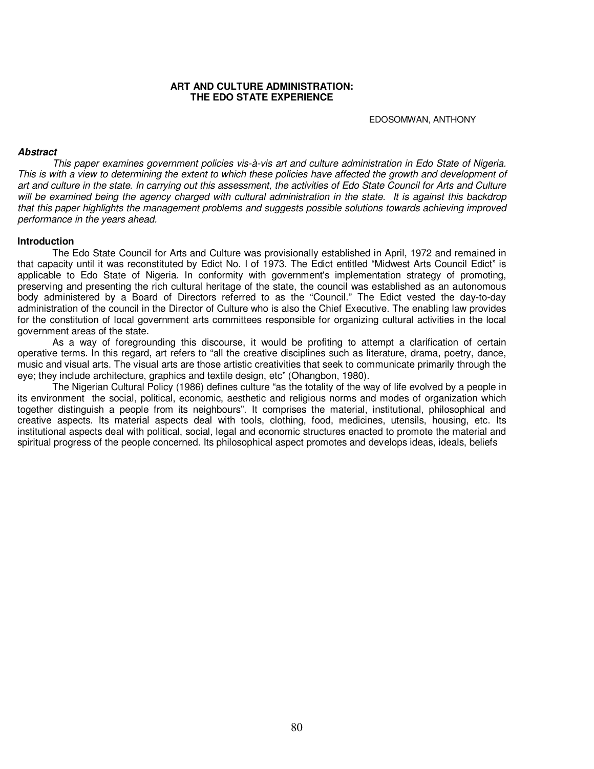### **ART AND CULTURE ADMINISTRATION: THE EDO STATE EXPERIENCE**

EDOSOMWAN, ANTHONY

### **Abstract**

This paper examines government policies vis-à-vis art and culture administration in Edo State of Nigeria. This is with a view to determining the extent to which these policies have affected the growth and development of art and culture in the state. In carrying out this assessment, the activities of Edo State Council for Arts and Culture will be examined being the agency charged with cultural administration in the state. It is against this backdrop that this paper highlights the management problems and suggests possible solutions towards achieving improved performance in the years ahead.

### **Introduction**

The Edo State Council for Arts and Culture was provisionally established in April, 1972 and remained in that capacity until it was reconstituted by Edict No. I of 1973. The Edict entitled "Midwest Arts Council Edict" is applicable to Edo State of Nigeria. In conformity with government's implementation strategy of promoting, preserving and presenting the rich cultural heritage of the state, the council was established as an autonomous body administered by a Board of Directors referred to as the "Council." The Edict vested the day-to-day administration of the council in the Director of Culture who is also the Chief Executive. The enabling law provides for the constitution of local government arts committees responsible for organizing cultural activities in the local government areas of the state.

As a way of foregrounding this discourse, it would be profiting to attempt a clarification of certain operative terms. In this regard, art refers to "all the creative disciplines such as literature, drama, poetry, dance, music and visual arts. The visual arts are those artistic creativities that seek to communicate primarily through the eye; they include architecture, graphics and textile design, etc" (Ohangbon, 1980).

The Nigerian Cultural Policy (1986) defines culture "as the totality of the way of life evolved by a people in its environment the social, political, economic, aesthetic and religious norms and modes of organization which together distinguish a people from its neighbours". It comprises the material, institutional, philosophical and creative aspects. Its material aspects deal with tools, clothing, food, medicines, utensils, housing, etc. Its institutional aspects deal with political, social, legal and economic structures enacted to promote the material and spiritual progress of the people concerned. Its philosophical aspect promotes and develops ideas, ideals, beliefs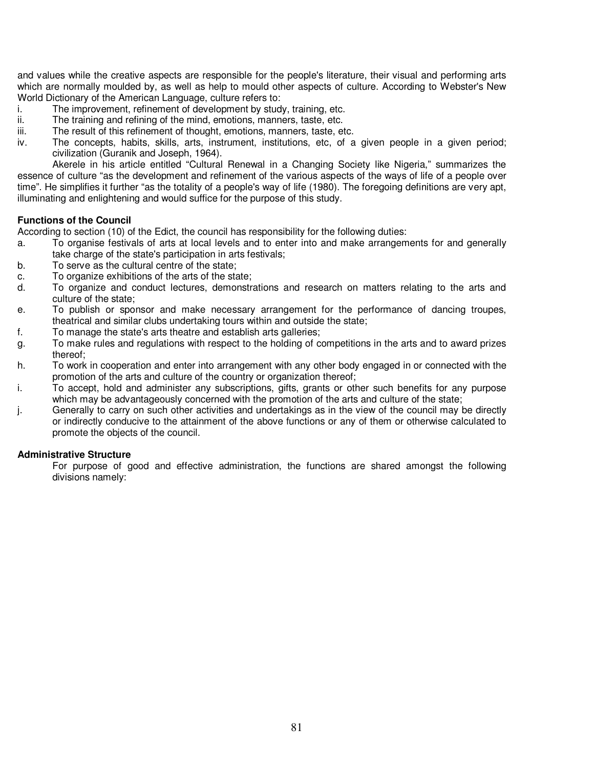and values while the creative aspects are responsible for the people's literature, their visual and performing arts which are normally moulded by, as well as help to mould other aspects of culture. According to Webster's New World Dictionary of the American Language, culture refers to:

- i. The improvement, refinement of development by study, training, etc.
- ii. The training and refining of the mind, emotions, manners, taste, etc.
- iii. The result of this refinement of thought, emotions, manners, taste, etc.
- iv. The concepts, habits, skills, arts, instrument, institutions, etc, of a given people in a given period; civilization (Guranik and Joseph, 1964).

Akerele in his article entitled "Cultural Renewal in a Changing Society like Nigeria," summarizes the essence of culture "as the development and refinement of the various aspects of the ways of life of a people over time". He simplifies it further "as the totality of a people's way of life (1980). The foregoing definitions are very apt, illuminating and enlightening and would suffice for the purpose of this study.

## **Functions of the Council**

According to section (10) of the Edict, the council has responsibility for the following duties:

- a. To organise festivals of arts at local levels and to enter into and make arrangements for and generally take charge of the state's participation in arts festivals;
- b. To serve as the cultural centre of the state;
- c. To organize exhibitions of the arts of the state;
- d. To organize and conduct lectures, demonstrations and research on matters relating to the arts and culture of the state;
- e. To publish or sponsor and make necessary arrangement for the performance of dancing troupes, theatrical and similar clubs undertaking tours within and outside the state;
- f. To manage the state's arts theatre and establish arts galleries;
- g. To make rules and regulations with respect to the holding of competitions in the arts and to award prizes thereof;
- h. To work in cooperation and enter into arrangement with any other body engaged in or connected with the promotion of the arts and culture of the country or organization thereof;
- i. To accept, hold and administer any subscriptions, gifts, grants or other such benefits for any purpose which may be advantageously concerned with the promotion of the arts and culture of the state;
- j. Generally to carry on such other activities and undertakings as in the view of the council may be directly or indirectly conducive to the attainment of the above functions or any of them or otherwise calculated to promote the objects of the council.

# **Administrative Structure**

 For purpose of good and effective administration, the functions are shared amongst the following divisions namely: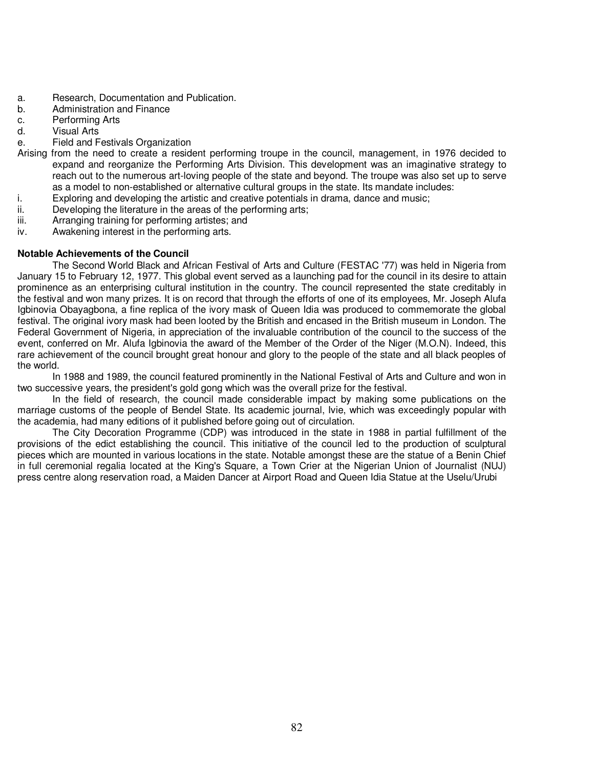- a. Research, Documentation and Publication.
- b. Administration and Finance
- c. Performing Arts
- d. Visual Arts
- e. Field and Festivals Organization
- Arising from the need to create a resident performing troupe in the council, management, in 1976 decided to expand and reorganize the Performing Arts Division. This development was an imaginative strategy to reach out to the numerous art-loving people of the state and beyond. The troupe was also set up to serve as a model to non-established or alternative cultural groups in the state. Its mandate includes:
- i. Exploring and developing the artistic and creative potentials in drama, dance and music;
- ii. Developing the literature in the areas of the performing arts;
- iii. Arranging training for performing artistes; and
- iv. Awakening interest in the performing arts.

## **Notable Achievements of the Council**

The Second World Black and African Festival of Arts and Culture (FESTAC '77) was held in Nigeria from January 15 to February 12, 1977. This global event served as a launching pad for the council in its desire to attain prominence as an enterprising cultural institution in the country. The council represented the state creditably in the festival and won many prizes. It is on record that through the efforts of one of its employees, Mr. Joseph Alufa Igbinovia Obayagbona, a fine replica of the ivory mask of Queen Idia was produced to commemorate the global festival. The original ivory mask had been looted by the British and encased in the British museum in London. The Federal Government of Nigeria, in appreciation of the invaluable contribution of the council to the success of the event, conferred on Mr. Alufa Igbinovia the award of the Member of the Order of the Niger (M.O.N). Indeed, this rare achievement of the council brought great honour and glory to the people of the state and all black peoples of the world.

In 1988 and 1989, the council featured prominently in the National Festival of Arts and Culture and won in two successive years, the president's gold gong which was the overall prize for the festival.

In the field of research, the council made considerable impact by making some publications on the marriage customs of the people of Bendel State. Its academic journal, Ivie, which was exceedingly popular with the academia, had many editions of it published before going out of circulation.

The City Decoration Programme (CDP) was introduced in the state in 1988 in partial fulfillment of the provisions of the edict establishing the council. This initiative of the council led to the production of sculptural pieces which are mounted in various locations in the state. Notable amongst these are the statue of a Benin Chief in full ceremonial regalia located at the King's Square, a Town Crier at the Nigerian Union of Journalist (NUJ) press centre along reservation road, a Maiden Dancer at Airport Road and Queen Idia Statue at the Uselu/Urubi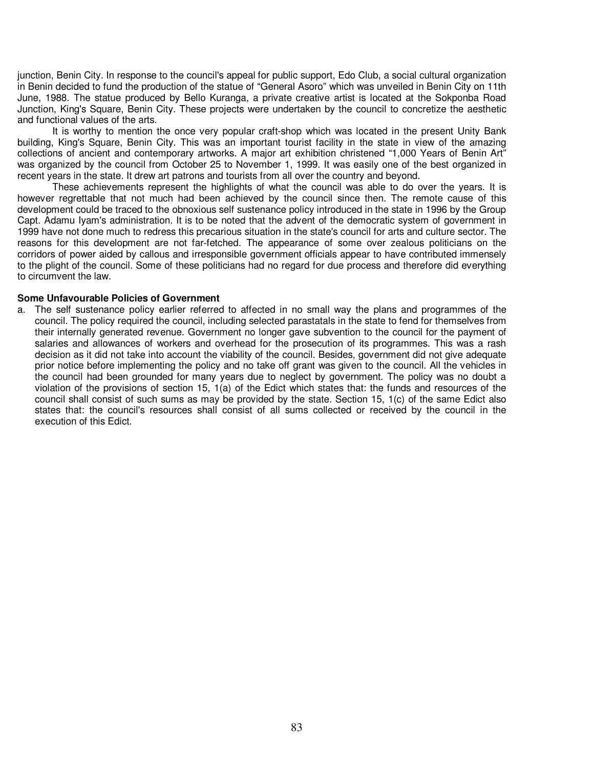junction, Benin City. In response to the council's appeal for public support, Edo Club, a social cultural organization in Benin decided to fund the production of the statue of "General Asoro" which was unveiled in Benin City on 11th June, 1988. The statue produced by Bello Kuranga, a private creative artist is located at the Sokponba Road Junction, King's Square, Benin City. These projects were undertaken by the council to concretize the aesthetic and functional values of the arts.

It is worthy to mention the once very popular craft-shop which was located in the present Unity Bank building, King's Square, Benin City. This was an important tourist facility in the state in view of the amazing collections of ancient and contemporary artworks. A major art exhibition christened "1,000 Years of Benin Art" was organized by the council from October 25 to November 1, 1999. It was easily one of the best organized in recent years in the state. It drew art patrons and tourists from all over the country and beyond.

These achievements represent the highlights of what the council was able to do over the years. It is however regrettable that not much had been achieved by the council since then. The remote cause of this development could be traced to the obnoxious self sustenance policy introduced in the state in 1996 by the Group Capt. Adamu Iyam's administration. It is to be noted that the advent of the democratic system of government in 1999 have not done much to redress this precarious situation in the state's council for arts and culture sector. The reasons for this development are not far-fetched. The appearance of some over zealous politicians on the corridors of power aided by callous and irresponsible government officials appear to have contributed immensely to the plight of the council. Some of these politicians had no regard for due process and therefore did everything to circumvent the law.

### **Some Unfavourable Policies of Government**

a. The self sustenance policy earlier referred to affected in no small way the plans and programmes of the council. The policy required the council, including selected parastatals in the state to fend for themselves from their internally generated revenue. Government no longer gave subvention to the council for the payment of salaries and allowances of workers and overhead for the prosecution of its programmes. This was a rash decision as it did not take into account the viability of the council. Besides, government did not give adequate prior notice before implementing the policy and no take off grant was given to the council. All the vehicles in the council had been grounded for many years due to neglect by government. The policy was no doubt a violation of the provisions of section 15, 1(a) of the Edict which states that: the funds and resources of the council shall consist of such sums as may be provided by the state. Section 15, 1(c) of the same Edict also states that: the council's resources shall consist of all sums collected or received by the council in the execution of this Edict.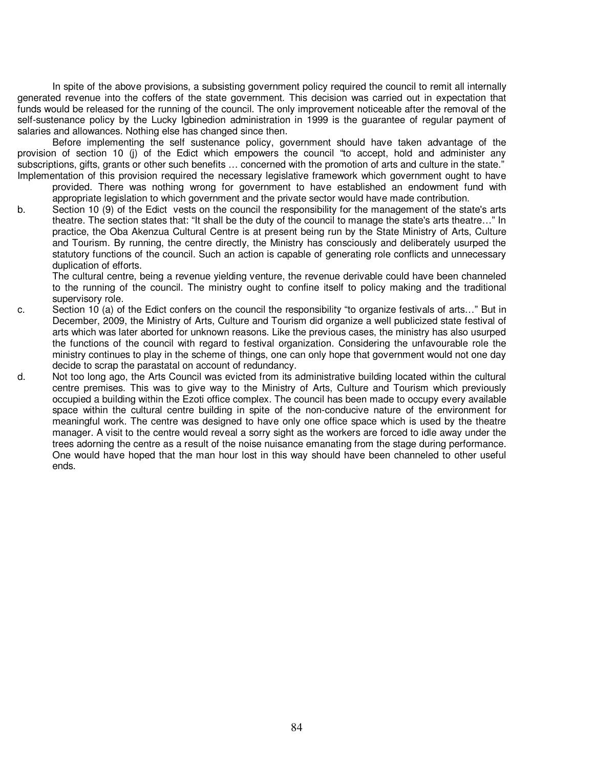In spite of the above provisions, a subsisting government policy required the council to remit all internally generated revenue into the coffers of the state government. This decision was carried out in expectation that funds would be released for the running of the council. The only improvement noticeable after the removal of the self-sustenance policy by the Lucky Igbinedion administration in 1999 is the guarantee of regular payment of salaries and allowances. Nothing else has changed since then.

Before implementing the self sustenance policy, government should have taken advantage of the provision of section 10 (j) of the Edict which empowers the council "to accept, hold and administer any subscriptions, gifts, grants or other such benefits … concerned with the promotion of arts and culture in the state." Implementation of this provision required the necessary legislative framework which government ought to have

provided. There was nothing wrong for government to have established an endowment fund with appropriate legislation to which government and the private sector would have made contribution.

b. Section 10 (9) of the Edict vests on the council the responsibility for the management of the state's arts theatre. The section states that: "It shall be the duty of the council to manage the state's arts theatre…" In practice, the Oba Akenzua Cultural Centre is at present being run by the State Ministry of Arts, Culture and Tourism. By running, the centre directly, the Ministry has consciously and deliberately usurped the statutory functions of the council. Such an action is capable of generating role conflicts and unnecessary duplication of efforts.

 The cultural centre, being a revenue yielding venture, the revenue derivable could have been channeled to the running of the council. The ministry ought to confine itself to policy making and the traditional supervisory role.

- c. Section 10 (a) of the Edict confers on the council the responsibility "to organize festivals of arts…" But in December, 2009, the Ministry of Arts, Culture and Tourism did organize a well publicized state festival of arts which was later aborted for unknown reasons. Like the previous cases, the ministry has also usurped the functions of the council with regard to festival organization. Considering the unfavourable role the ministry continues to play in the scheme of things, one can only hope that government would not one day decide to scrap the parastatal on account of redundancy.
- d. Not too long ago, the Arts Council was evicted from its administrative building located within the cultural centre premises. This was to give way to the Ministry of Arts, Culture and Tourism which previously occupied a building within the Ezoti office complex. The council has been made to occupy every available space within the cultural centre building in spite of the non-conducive nature of the environment for meaningful work. The centre was designed to have only one office space which is used by the theatre manager. A visit to the centre would reveal a sorry sight as the workers are forced to idle away under the trees adorning the centre as a result of the noise nuisance emanating from the stage during performance. One would have hoped that the man hour lost in this way should have been channeled to other useful ends.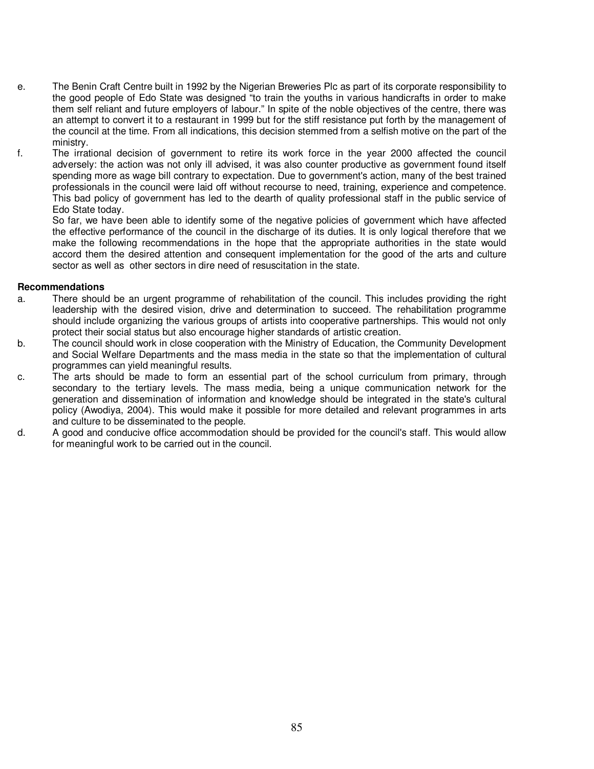- e. The Benin Craft Centre built in 1992 by the Nigerian Breweries Plc as part of its corporate responsibility to the good people of Edo State was designed "to train the youths in various handicrafts in order to make them self reliant and future employers of labour." In spite of the noble objectives of the centre, there was an attempt to convert it to a restaurant in 1999 but for the stiff resistance put forth by the management of the council at the time. From all indications, this decision stemmed from a selfish motive on the part of the ministry.
- f. The irrational decision of government to retire its work force in the year 2000 affected the council adversely: the action was not only ill advised, it was also counter productive as government found itself spending more as wage bill contrary to expectation. Due to government's action, many of the best trained professionals in the council were laid off without recourse to need, training, experience and competence. This bad policy of government has led to the dearth of quality professional staff in the public service of Edo State today.

 So far, we have been able to identify some of the negative policies of government which have affected the effective performance of the council in the discharge of its duties. It is only logical therefore that we make the following recommendations in the hope that the appropriate authorities in the state would accord them the desired attention and consequent implementation for the good of the arts and culture sector as well as other sectors in dire need of resuscitation in the state.

## **Recommendations**

- a. There should be an urgent programme of rehabilitation of the council. This includes providing the right leadership with the desired vision, drive and determination to succeed. The rehabilitation programme should include organizing the various groups of artists into cooperative partnerships. This would not only protect their social status but also encourage higher standards of artistic creation.
- b. The council should work in close cooperation with the Ministry of Education, the Community Development and Social Welfare Departments and the mass media in the state so that the implementation of cultural programmes can yield meaningful results.
- c. The arts should be made to form an essential part of the school curriculum from primary, through secondary to the tertiary levels. The mass media, being a unique communication network for the generation and dissemination of information and knowledge should be integrated in the state's cultural policy (Awodiya, 2004). This would make it possible for more detailed and relevant programmes in arts and culture to be disseminated to the people.
- d. A good and conducive office accommodation should be provided for the council's staff. This would allow for meaningful work to be carried out in the council.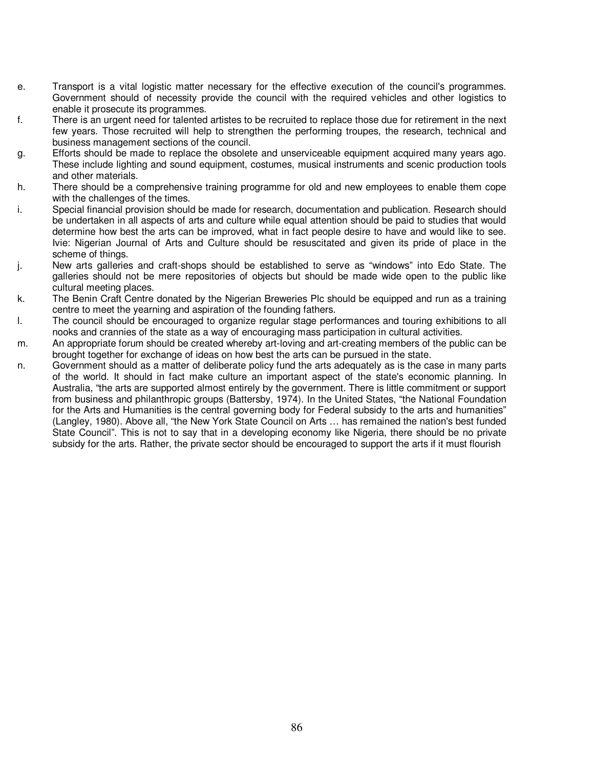- e. Transport is a vital logistic matter necessary for the effective execution of the council's programmes. Government should of necessity provide the council with the required vehicles and other logistics to enable it prosecute its programmes.
- f. There is an urgent need for talented artistes to be recruited to replace those due for retirement in the next few years. Those recruited will help to strengthen the performing troupes, the research, technical and business management sections of the council.
- g. Efforts should be made to replace the obsolete and unserviceable equipment acquired many years ago. These include lighting and sound equipment, costumes, musical instruments and scenic production tools and other materials.
- h. There should be a comprehensive training programme for old and new employees to enable them cope with the challenges of the times.
- i. Special financial provision should be made for research, documentation and publication. Research should be undertaken in all aspects of arts and culture while equal attention should be paid to studies that would determine how best the arts can be improved, what in fact people desire to have and would like to see. Ivie: Nigerian Journal of Arts and Culture should be resuscitated and given its pride of place in the scheme of things.
- j. New arts galleries and craft-shops should be established to serve as "windows" into Edo State. The galleries should not be mere repositories of objects but should be made wide open to the public like cultural meeting places.
- k. The Benin Craft Centre donated by the Nigerian Breweries Plc should be equipped and run as a training centre to meet the yearning and aspiration of the founding fathers.
- l. The council should be encouraged to organize regular stage performances and touring exhibitions to all nooks and crannies of the state as a way of encouraging mass participation in cultural activities.
- m. An appropriate forum should be created whereby art-loving and art-creating members of the public can be brought together for exchange of ideas on how best the arts can be pursued in the state.
- n. Government should as a matter of deliberate policy fund the arts adequately as is the case in many parts of the world. It should in fact make culture an important aspect of the state's economic planning. In Australia, "the arts are supported almost entirely by the government. There is little commitment or support from business and philanthropic groups (Battersby, 1974). In the United States, "the National Foundation for the Arts and Humanities is the central governing body for Federal subsidy to the arts and humanities" (Langley, 1980). Above all, "the New York State Council on Arts … has remained the nation's best funded State Council". This is not to say that in a developing economy like Nigeria, there should be no private subsidy for the arts. Rather, the private sector should be encouraged to support the arts if it must flourish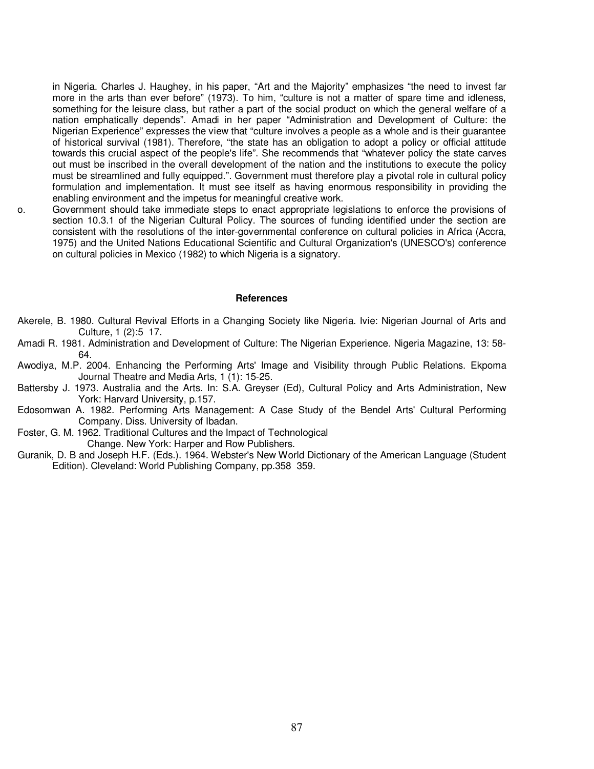in Nigeria. Charles J. Haughey, in his paper, "Art and the Majority" emphasizes "the need to invest far more in the arts than ever before" (1973). To him, "culture is not a matter of spare time and idleness, something for the leisure class, but rather a part of the social product on which the general welfare of a nation emphatically depends". Amadi in her paper "Administration and Development of Culture: the Nigerian Experience" expresses the view that "culture involves a people as a whole and is their guarantee of historical survival (1981). Therefore, "the state has an obligation to adopt a policy or official attitude towards this crucial aspect of the people's life". She recommends that "whatever policy the state carves out must be inscribed in the overall development of the nation and the institutions to execute the policy must be streamlined and fully equipped.". Government must therefore play a pivotal role in cultural policy formulation and implementation. It must see itself as having enormous responsibility in providing the enabling environment and the impetus for meaningful creative work.

o. Government should take immediate steps to enact appropriate legislations to enforce the provisions of section 10.3.1 of the Nigerian Cultural Policy. The sources of funding identified under the section are consistent with the resolutions of the inter-governmental conference on cultural policies in Africa (Accra, 1975) and the United Nations Educational Scientific and Cultural Organization's (UNESCO's) conference on cultural policies in Mexico (1982) to which Nigeria is a signatory.

### **References**

- Akerele, B. 1980. Cultural Revival Efforts in a Changing Society like Nigeria. Ivie: Nigerian Journal of Arts and Culture, 1 (2):5 17.
- Amadi R. 1981. Administration and Development of Culture: The Nigerian Experience. Nigeria Magazine, 13: 58- 64.
- Awodiya, M.P. 2004. Enhancing the Performing Arts' Image and Visibility through Public Relations. Ekpoma Journal Theatre and Media Arts, 1 (1): 15-25.
- Battersby J. 1973. Australia and the Arts. In: S.A. Greyser (Ed), Cultural Policy and Arts Administration, New York: Harvard University, p.157.
- Edosomwan A. 1982. Performing Arts Management: A Case Study of the Bendel Arts' Cultural Performing Company. Diss. University of Ibadan.
- Foster, G. M. 1962. Traditional Cultures and the Impact of Technological Change. New York: Harper and Row Publishers.
- Guranik, D. B and Joseph H.F. (Eds.). 1964. Webster's New World Dictionary of the American Language (Student Edition). Cleveland: World Publishing Company, pp.358 359.